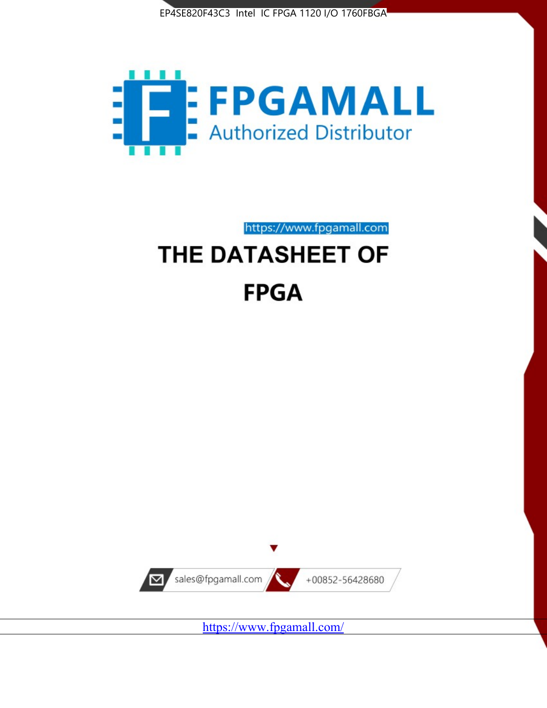



https://www.fpgamall.com

# THE DATASHEET OF **FPGA**



<https://www.fpgamall.com/>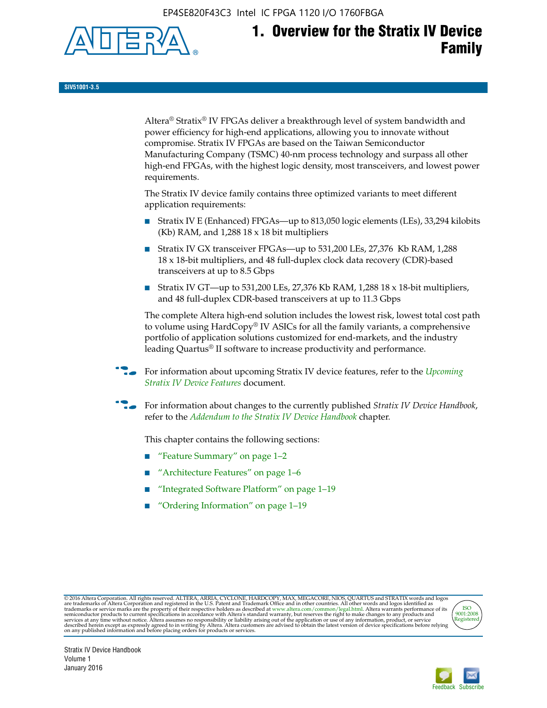EP4SE820F43C3 Intel IC FPGA 1120 I/O 1760FBGA



# **1. Overview for the Stratix IV Device Family**

**SIV51001-3.5**

Altera® Stratix® IV FPGAs deliver a breakthrough level of system bandwidth and power efficiency for high-end applications, allowing you to innovate without compromise. Stratix IV FPGAs are based on the Taiwan Semiconductor Manufacturing Company (TSMC) 40-nm process technology and surpass all other high-end FPGAs, with the highest logic density, most transceivers, and lowest power requirements.

The Stratix IV device family contains three optimized variants to meet different application requirements:

- Stratix IV E (Enhanced) FPGAs—up to 813,050 logic elements (LEs), 33,294 kilobits (Kb) RAM, and 1,288 18 x 18 bit multipliers
- Stratix IV GX transceiver FPGAs—up to 531,200 LEs, 27,376 Kb RAM, 1,288 18 x 18-bit multipliers, and 48 full-duplex clock data recovery (CDR)-based transceivers at up to 8.5 Gbps
- Stratix IV GT—up to 531,200 LEs, 27,376 Kb RAM, 1,288 18 x 18-bit multipliers, and 48 full-duplex CDR-based transceivers at up to 11.3 Gbps

The complete Altera high-end solution includes the lowest risk, lowest total cost path to volume using HardCopy® IV ASICs for all the family variants, a comprehensive portfolio of application solutions customized for end-markets, and the industry leading Quartus® II software to increase productivity and performance.

For information about upcoming Stratix IV device features, refer to the *Upcoming [Stratix IV Device Features](http://www.altera.com/literature/hb/stratix-iv/uf01001.pdf?GSA_pos=2&WT.oss_r=1&WT.oss=upcoming)* document.

f For information about changes to the currently published *Stratix IV Device Handbook*, refer to the *[Addendum to the Stratix IV Device Handbook](http://www.altera.com/literature/hb/stratix-iv/stx4_siv54002.pdf)* chapter.

This chapter contains the following sections:

- "Feature Summary" on page 1–2
- "Architecture Features" on page 1–6
- "Integrated Software Platform" on page 1–19
- "Ordering Information" on page 1–19

@2016 Altera Corporation. All rights reserved. ALTERA, ARRIA, CYCLONE, HARDCOPY, MAX, MEGACORE, NIOS, QUARTUS and STRATIX words and logos are trademarks of Altera Corporation and registered in the U.S. Patent and Trademark



Stratix IV Device Handbook Volume 1 January 2016

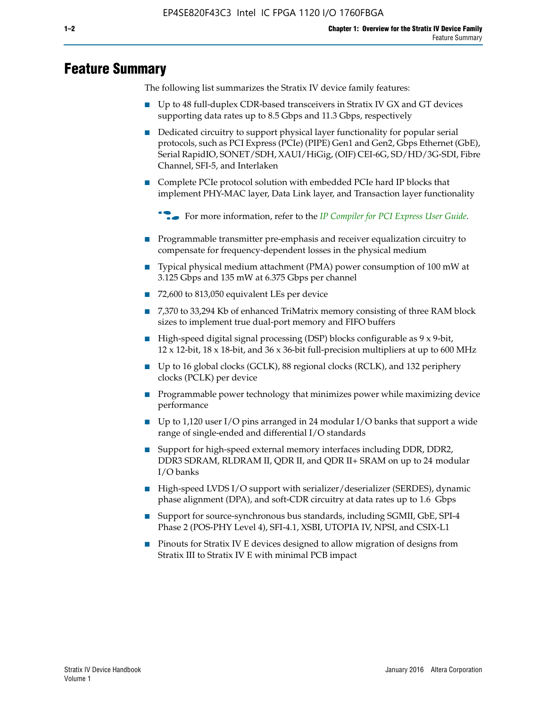# **Feature Summary**

The following list summarizes the Stratix IV device family features:

- Up to 48 full-duplex CDR-based transceivers in Stratix IV GX and GT devices supporting data rates up to 8.5 Gbps and 11.3 Gbps, respectively
- Dedicated circuitry to support physical layer functionality for popular serial protocols, such as PCI Express (PCIe) (PIPE) Gen1 and Gen2, Gbps Ethernet (GbE), Serial RapidIO, SONET/SDH, XAUI/HiGig, (OIF) CEI-6G, SD/HD/3G-SDI, Fibre Channel, SFI-5, and Interlaken
- Complete PCIe protocol solution with embedded PCIe hard IP blocks that implement PHY-MAC layer, Data Link layer, and Transaction layer functionality

**For more information, refer to the** *[IP Compiler for PCI Express User Guide](http://www.altera.com/literature/ug/ug_pci_express.pdf)***.** 

- Programmable transmitter pre-emphasis and receiver equalization circuitry to compensate for frequency-dependent losses in the physical medium
- Typical physical medium attachment (PMA) power consumption of 100 mW at 3.125 Gbps and 135 mW at 6.375 Gbps per channel
- 72,600 to 813,050 equivalent LEs per device
- 7,370 to 33,294 Kb of enhanced TriMatrix memory consisting of three RAM block sizes to implement true dual-port memory and FIFO buffers
- High-speed digital signal processing (DSP) blocks configurable as 9 x 9-bit,  $12 \times 12$ -bit,  $18 \times 18$ -bit, and  $36 \times 36$ -bit full-precision multipliers at up to 600 MHz
- Up to 16 global clocks (GCLK), 88 regional clocks (RCLK), and 132 periphery clocks (PCLK) per device
- Programmable power technology that minimizes power while maximizing device performance
- Up to 1,120 user I/O pins arranged in 24 modular I/O banks that support a wide range of single-ended and differential I/O standards
- Support for high-speed external memory interfaces including DDR, DDR2, DDR3 SDRAM, RLDRAM II, QDR II, and QDR II+ SRAM on up to 24 modular I/O banks
- High-speed LVDS I/O support with serializer/deserializer (SERDES), dynamic phase alignment (DPA), and soft-CDR circuitry at data rates up to 1.6 Gbps
- Support for source-synchronous bus standards, including SGMII, GbE, SPI-4 Phase 2 (POS-PHY Level 4), SFI-4.1, XSBI, UTOPIA IV, NPSI, and CSIX-L1
- Pinouts for Stratix IV E devices designed to allow migration of designs from Stratix III to Stratix IV E with minimal PCB impact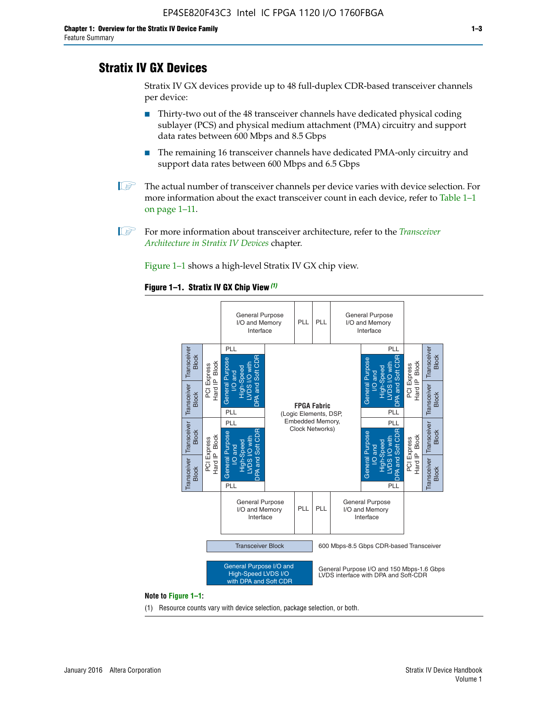# **Stratix IV GX Devices**

Stratix IV GX devices provide up to 48 full-duplex CDR-based transceiver channels per device:

- Thirty-two out of the 48 transceiver channels have dedicated physical coding sublayer (PCS) and physical medium attachment (PMA) circuitry and support data rates between 600 Mbps and 8.5 Gbps
- The remaining 16 transceiver channels have dedicated PMA-only circuitry and support data rates between 600 Mbps and 6.5 Gbps
- **1 The actual number of transceiver channels per device varies with device selection. For** more information about the exact transceiver count in each device, refer to Table 1–1 on page 1–11.
- 1 For more information about transceiver architecture, refer to the *[Transceiver](http://www.altera.com/literature/hb/stratix-iv/stx4_siv52001.pdf)  [Architecture in Stratix IV Devices](http://www.altera.com/literature/hb/stratix-iv/stx4_siv52001.pdf)* chapter.

Figure 1–1 shows a high-level Stratix IV GX chip view.

#### **Figure 1–1. Stratix IV GX Chip View** *(1)*



#### **Note to Figure 1–1:**

(1) Resource counts vary with device selection, package selection, or both.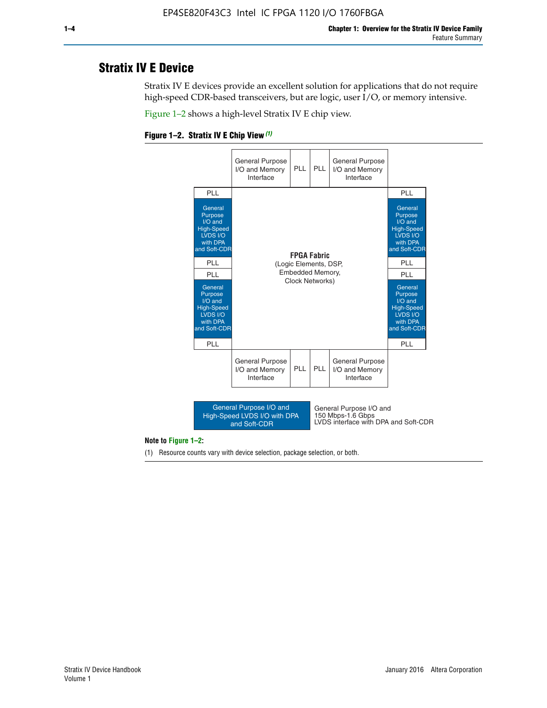# **Stratix IV E Device**

Stratix IV E devices provide an excellent solution for applications that do not require high-speed CDR-based transceivers, but are logic, user I/O, or memory intensive.

Figure 1–2 shows a high-level Stratix IV E chip view.





#### **Note to Figure 1–2:**

(1) Resource counts vary with device selection, package selection, or both.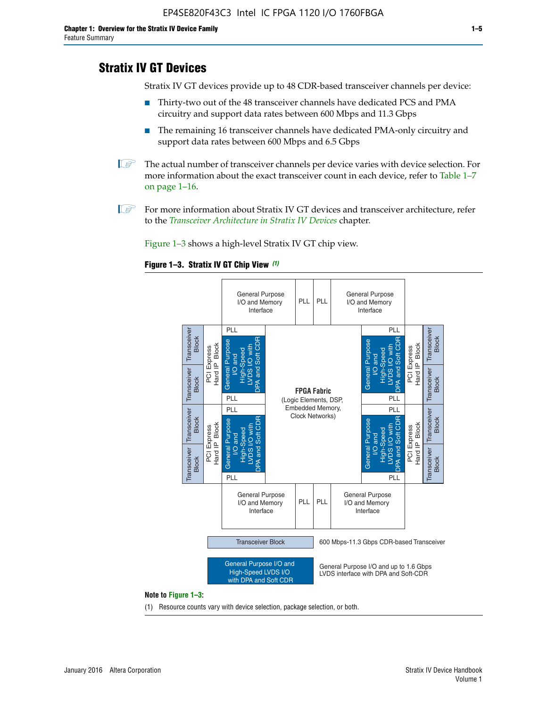# **Stratix IV GT Devices**

Stratix IV GT devices provide up to 48 CDR-based transceiver channels per device:

- Thirty-two out of the 48 transceiver channels have dedicated PCS and PMA circuitry and support data rates between 600 Mbps and 11.3 Gbps
- The remaining 16 transceiver channels have dedicated PMA-only circuitry and support data rates between 600 Mbps and 6.5 Gbps
- **1** The actual number of transceiver channels per device varies with device selection. For more information about the exact transceiver count in each device, refer to Table 1–7 on page 1–16.
- $\mathbb{I}$  For more information about Stratix IV GT devices and transceiver architecture, refer to the *[Transceiver Architecture in Stratix IV Devices](http://www.altera.com/literature/hb/stratix-iv/stx4_siv52001.pdf)* chapter.

Figure 1–3 shows a high-level Stratix IV GT chip view.





(1) Resource counts vary with device selection, package selection, or both.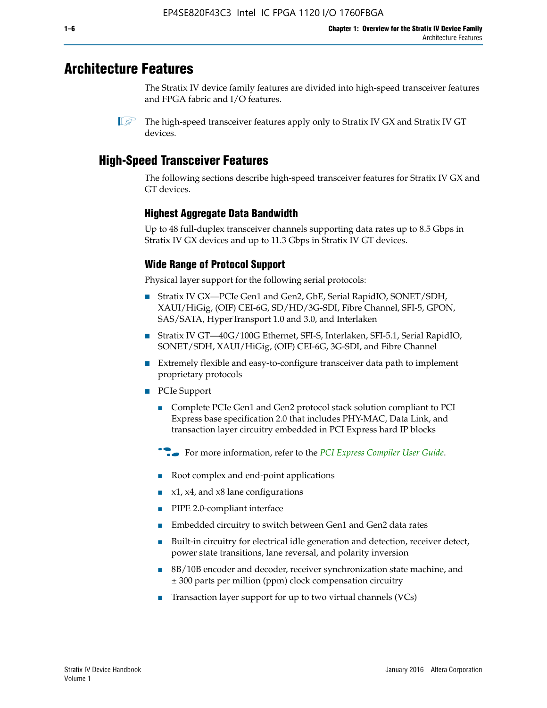# **Architecture Features**

The Stratix IV device family features are divided into high-speed transceiver features and FPGA fabric and I/O features.

 $\mathbb{I}$  The high-speed transceiver features apply only to Stratix IV GX and Stratix IV GT devices.

# **High-Speed Transceiver Features**

The following sections describe high-speed transceiver features for Stratix IV GX and GT devices.

### **Highest Aggregate Data Bandwidth**

Up to 48 full-duplex transceiver channels supporting data rates up to 8.5 Gbps in Stratix IV GX devices and up to 11.3 Gbps in Stratix IV GT devices.

### **Wide Range of Protocol Support**

Physical layer support for the following serial protocols:

- Stratix IV GX—PCIe Gen1 and Gen2, GbE, Serial RapidIO, SONET/SDH, XAUI/HiGig, (OIF) CEI-6G, SD/HD/3G-SDI, Fibre Channel, SFI-5, GPON, SAS/SATA, HyperTransport 1.0 and 3.0, and Interlaken
- Stratix IV GT—40G/100G Ethernet, SFI-S, Interlaken, SFI-5.1, Serial RapidIO, SONET/SDH, XAUI/HiGig, (OIF) CEI-6G, 3G-SDI, and Fibre Channel
- Extremely flexible and easy-to-configure transceiver data path to implement proprietary protocols
- PCIe Support
	- Complete PCIe Gen1 and Gen2 protocol stack solution compliant to PCI Express base specification 2.0 that includes PHY-MAC, Data Link, and transaction layer circuitry embedded in PCI Express hard IP blocks
	- **For more information, refer to the [PCI Express Compiler User Guide](http://www.altera.com/literature/ug/ug_pci_express.pdf).**
	- Root complex and end-point applications
	- $x1, x4,$  and  $x8$  lane configurations
	- PIPE 2.0-compliant interface
	- Embedded circuitry to switch between Gen1 and Gen2 data rates
	- Built-in circuitry for electrical idle generation and detection, receiver detect, power state transitions, lane reversal, and polarity inversion
	- 8B/10B encoder and decoder, receiver synchronization state machine, and ± 300 parts per million (ppm) clock compensation circuitry
	- Transaction layer support for up to two virtual channels (VCs)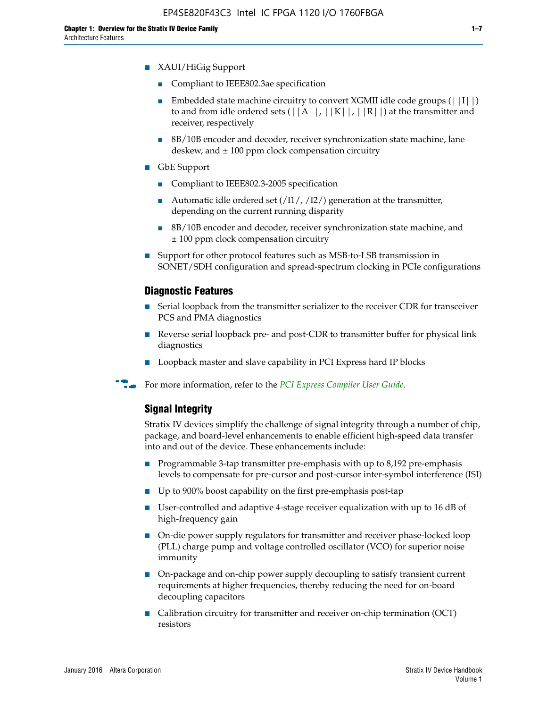- XAUI/HiGig Support
	- Compliant to IEEE802.3ae specification
	- **■** Embedded state machine circuitry to convert XGMII idle code groups  $(|11|)$ to and from idle ordered sets  $(|A|, |K|, |R|)$  at the transmitter and receiver, respectively
	- 8B/10B encoder and decoder, receiver synchronization state machine, lane deskew, and  $\pm 100$  ppm clock compensation circuitry
- GbE Support
	- Compliant to IEEE802.3-2005 specification
	- Automatic idle ordered set  $(111/112/1)$  generation at the transmitter, depending on the current running disparity
	- 8B/10B encoder and decoder, receiver synchronization state machine, and ± 100 ppm clock compensation circuitry
- Support for other protocol features such as MSB-to-LSB transmission in SONET/SDH configuration and spread-spectrum clocking in PCIe configurations

#### **Diagnostic Features**

- Serial loopback from the transmitter serializer to the receiver CDR for transceiver PCS and PMA diagnostics
- Reverse serial loopback pre- and post-CDR to transmitter buffer for physical link diagnostics
- Loopback master and slave capability in PCI Express hard IP blocks
- **For more information, refer to the** *[PCI Express Compiler User Guide](http://www.altera.com/literature/ug/ug_pci_express.pdf)***.**

#### **Signal Integrity**

Stratix IV devices simplify the challenge of signal integrity through a number of chip, package, and board-level enhancements to enable efficient high-speed data transfer into and out of the device. These enhancements include:

- Programmable 3-tap transmitter pre-emphasis with up to 8,192 pre-emphasis levels to compensate for pre-cursor and post-cursor inter-symbol interference (ISI)
- Up to 900% boost capability on the first pre-emphasis post-tap
- User-controlled and adaptive 4-stage receiver equalization with up to 16 dB of high-frequency gain
- On-die power supply regulators for transmitter and receiver phase-locked loop (PLL) charge pump and voltage controlled oscillator (VCO) for superior noise immunity
- On-package and on-chip power supply decoupling to satisfy transient current requirements at higher frequencies, thereby reducing the need for on-board decoupling capacitors
- Calibration circuitry for transmitter and receiver on-chip termination (OCT) resistors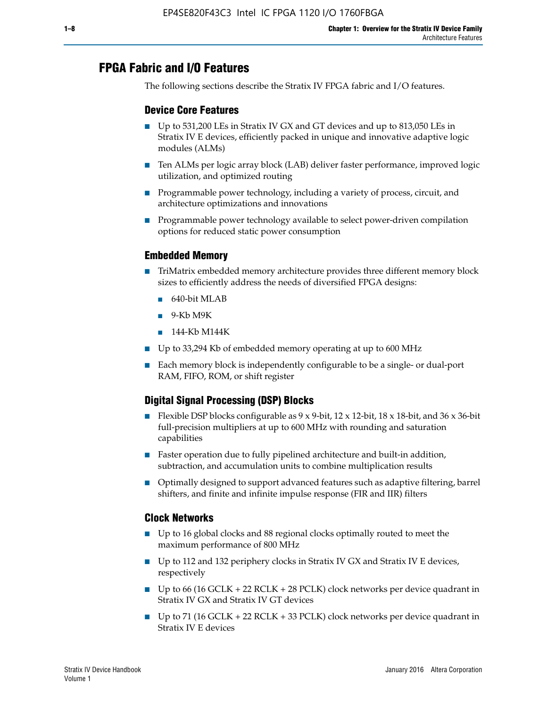# **FPGA Fabric and I/O Features**

The following sections describe the Stratix IV FPGA fabric and I/O features.

### **Device Core Features**

- Up to 531,200 LEs in Stratix IV GX and GT devices and up to 813,050 LEs in Stratix IV E devices, efficiently packed in unique and innovative adaptive logic modules (ALMs)
- Ten ALMs per logic array block (LAB) deliver faster performance, improved logic utilization, and optimized routing
- Programmable power technology, including a variety of process, circuit, and architecture optimizations and innovations
- Programmable power technology available to select power-driven compilation options for reduced static power consumption

#### **Embedded Memory**

- TriMatrix embedded memory architecture provides three different memory block sizes to efficiently address the needs of diversified FPGA designs:
	- 640-bit MLAB
	- 9-Kb M9K
	- 144-Kb M144K
- Up to 33,294 Kb of embedded memory operating at up to 600 MHz
- Each memory block is independently configurable to be a single- or dual-port RAM, FIFO, ROM, or shift register

### **Digital Signal Processing (DSP) Blocks**

- Flexible DSP blocks configurable as  $9 \times 9$ -bit,  $12 \times 12$ -bit,  $18 \times 18$ -bit, and  $36 \times 36$ -bit full-precision multipliers at up to 600 MHz with rounding and saturation capabilities
- Faster operation due to fully pipelined architecture and built-in addition, subtraction, and accumulation units to combine multiplication results
- Optimally designed to support advanced features such as adaptive filtering, barrel shifters, and finite and infinite impulse response (FIR and IIR) filters

#### **Clock Networks**

- Up to 16 global clocks and 88 regional clocks optimally routed to meet the maximum performance of 800 MHz
- Up to 112 and 132 periphery clocks in Stratix IV GX and Stratix IV E devices, respectively
- Up to 66 (16 GCLK + 22 RCLK + 28 PCLK) clock networks per device quadrant in Stratix IV GX and Stratix IV GT devices
- Up to 71 (16 GCLK + 22 RCLK + 33 PCLK) clock networks per device quadrant in Stratix IV E devices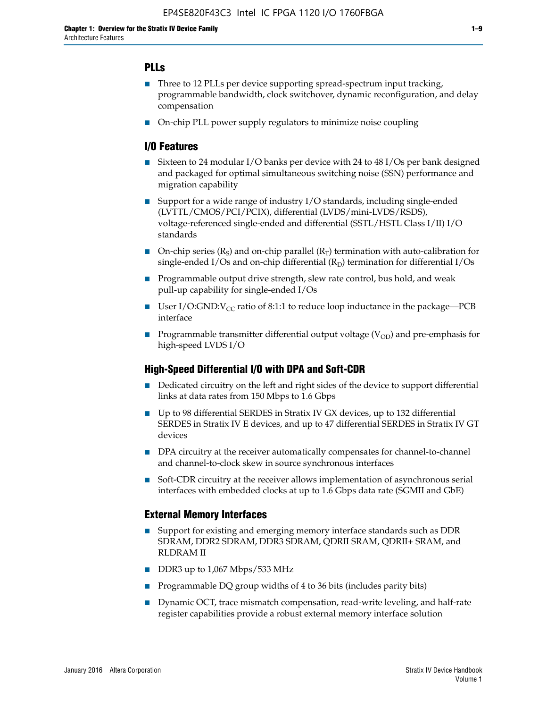### **PLLs**

- Three to 12 PLLs per device supporting spread-spectrum input tracking, programmable bandwidth, clock switchover, dynamic reconfiguration, and delay compensation
- On-chip PLL power supply regulators to minimize noise coupling

#### **I/O Features**

- Sixteen to 24 modular I/O banks per device with 24 to 48 I/Os per bank designed and packaged for optimal simultaneous switching noise (SSN) performance and migration capability
- Support for a wide range of industry I/O standards, including single-ended (LVTTL/CMOS/PCI/PCIX), differential (LVDS/mini-LVDS/RSDS), voltage-referenced single-ended and differential (SSTL/HSTL Class I/II) I/O standards
- **O**n-chip series  $(R_S)$  and on-chip parallel  $(R_T)$  termination with auto-calibration for single-ended I/Os and on-chip differential  $(R_D)$  termination for differential I/Os
- Programmable output drive strength, slew rate control, bus hold, and weak pull-up capability for single-ended I/Os
- User I/O:GND: $V_{CC}$  ratio of 8:1:1 to reduce loop inductance in the package—PCB interface
- **■** Programmable transmitter differential output voltage ( $V_{OD}$ ) and pre-emphasis for high-speed LVDS I/O

#### **High-Speed Differential I/O with DPA and Soft-CDR**

- Dedicated circuitry on the left and right sides of the device to support differential links at data rates from 150 Mbps to 1.6 Gbps
- Up to 98 differential SERDES in Stratix IV GX devices, up to 132 differential SERDES in Stratix IV E devices, and up to 47 differential SERDES in Stratix IV GT devices
- DPA circuitry at the receiver automatically compensates for channel-to-channel and channel-to-clock skew in source synchronous interfaces
- Soft-CDR circuitry at the receiver allows implementation of asynchronous serial interfaces with embedded clocks at up to 1.6 Gbps data rate (SGMII and GbE)

#### **External Memory Interfaces**

- Support for existing and emerging memory interface standards such as DDR SDRAM, DDR2 SDRAM, DDR3 SDRAM, QDRII SRAM, QDRII+ SRAM, and RLDRAM II
- DDR3 up to 1,067 Mbps/533 MHz
- Programmable DQ group widths of 4 to 36 bits (includes parity bits)
- Dynamic OCT, trace mismatch compensation, read-write leveling, and half-rate register capabilities provide a robust external memory interface solution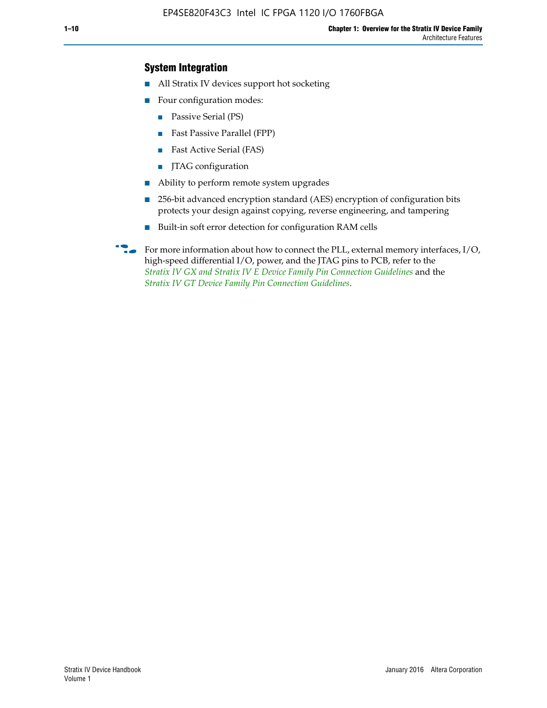### **System Integration**

- All Stratix IV devices support hot socketing
- Four configuration modes:
	- Passive Serial (PS)
	- Fast Passive Parallel (FPP)
	- Fast Active Serial (FAS)
	- JTAG configuration
- Ability to perform remote system upgrades
- 256-bit advanced encryption standard (AES) encryption of configuration bits protects your design against copying, reverse engineering, and tampering
- Built-in soft error detection for configuration RAM cells
- For more information about how to connect the PLL, external memory interfaces,  $I/O$ , high-speed differential I/O, power, and the JTAG pins to PCB, refer to the *[Stratix IV GX and Stratix IV E Device Family Pin Connection Guidelines](http://www.altera.com/literature/dp/stratix4/PCG-01005.pdf)* and the *[Stratix IV GT Device Family Pin Connection Guidelines](http://www.altera.com/literature/dp/stratix4/PCG-01006.pdf)*.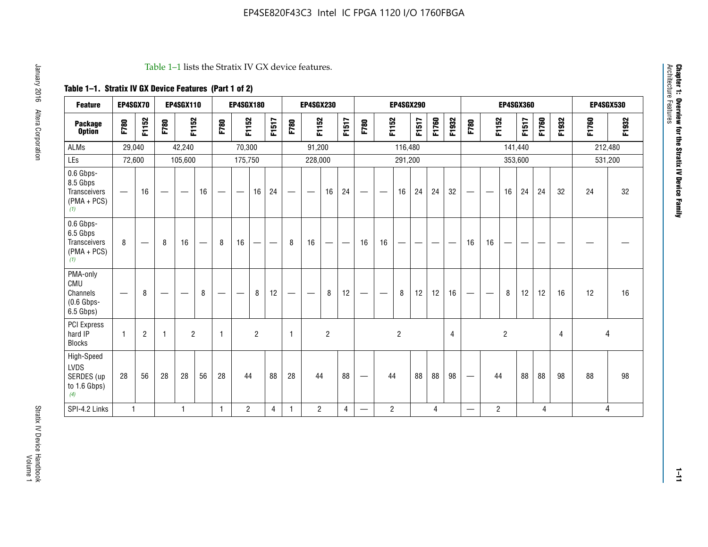#### Table 1–1 lists the Stratix IV GX device features.

## **Table 1–1. Stratix IV GX Device Features (Part 1 of 2)**

| <b>Feature</b>                                                       | EP4SGX70                         |                |                                | <b>EP4SGX110</b> |    |                   | <b>EP4SGX180</b>               |                |       |              | <b>EP4SGX230</b>         |                          |                 |      |                | <b>EP4SGX290</b> |       |       |       |                          |                   |                | <b>EP4SGX360</b> |       |       |         | <b>EP4SGX530</b> |
|----------------------------------------------------------------------|----------------------------------|----------------|--------------------------------|------------------|----|-------------------|--------------------------------|----------------|-------|--------------|--------------------------|--------------------------|-----------------|------|----------------|------------------|-------|-------|-------|--------------------------|-------------------|----------------|------------------|-------|-------|---------|------------------|
| <b>Package</b><br><b>Option</b>                                      | F780                             | F1152          | F780                           | F1152            |    | F780              | F1152                          |                | F1517 | F780         | F1152                    |                          | F1517           | F780 | F1152          |                  | F1517 | F1760 | F1932 | F780                     | F1152             |                | F1517            | F1760 | F1932 | F1760   | F1932            |
| ALMs                                                                 | 29,040                           |                |                                | 42,240           |    |                   | 70,300                         |                |       |              | 91,200                   |                          |                 |      |                | 116,480          |       |       |       |                          |                   |                | 141,440          |       |       | 212,480 |                  |
| LEs                                                                  | 72,600                           |                |                                | 105,600          |    |                   | 175,750                        |                |       |              | 228,000                  |                          |                 |      |                | 291,200          |       |       |       |                          |                   |                | 353,600          |       |       |         | 531,200          |
| 0.6 Gbps-<br>8.5 Gbps<br>Transceivers<br>$(PMA + PCs)$<br>(1)        | $\overline{\phantom{0}}$         | 16             |                                |                  | 16 |                   | $\qquad \qquad \longleftarrow$ | 16             | 24    |              |                          | 16                       | 24              |      |                | 16               | 24    | 24    | 32    | $\overline{\phantom{0}}$ |                   | 16             | 24               | 24    | 32    | 24      | 32               |
| 0.6 Gbps-<br>6.5 Gbps<br><b>Transceivers</b><br>$(PMA + PCs)$<br>(1) | 8                                |                | 8                              | 16               | –  | 8                 | 16                             | -              |       | 8            | 16                       | $\overline{\phantom{0}}$ | $\qquad \qquad$ | 16   | 16             |                  | -     |       |       | 16                       | 16                |                |                  |       |       |         |                  |
| PMA-only<br>CMU<br>Channels<br>$(0.6$ Gbps-<br>6.5 Gbps)             | $\overbrace{\phantom{12322111}}$ | 8              | $\qquad \qquad \longleftarrow$ |                  | 8  | $\hspace{0.05cm}$ |                                | 8              | 12    | -            | $\overline{\phantom{a}}$ | 8                        | 12              |      |                | 8                | 12    | 12    | 16    | $\overline{\phantom{0}}$ | $\hspace{0.05cm}$ | 8              | 12               | 12    | 16    | 12      | 16               |
| PCI Express<br>hard IP<br><b>Blocks</b>                              | $\mathbf{1}$                     | $\overline{2}$ |                                | $\overline{2}$   |    | 1                 |                                | $\overline{2}$ |       | $\mathbf{1}$ |                          | $\overline{c}$           |                 |      |                | $\overline{c}$   |       |       | 4     |                          |                   | $\overline{2}$ |                  |       | 4     |         | 4                |
| High-Speed<br>LVDS<br>SERDES (up<br>to 1.6 Gbps)<br>(4)              | 28                               | 56             | 28                             | 28               | 56 | 28                | 44                             |                | 88    | 28           | 44                       |                          | 88              | —    | 44             |                  | 88    | 88    | 98    |                          | 44                |                | 88               | 88    | 98    | 88      | 98               |
| SPI-4.2 Links                                                        | $\mathbf{1}$                     |                |                                | 1                |    | $\mathbf{1}$      | $\overline{c}$                 |                | 4     | 1            | $\overline{c}$           |                          | $\overline{4}$  | —    | $\overline{2}$ |                  |       | 4     |       | $\overline{\phantom{0}}$ | $\overline{2}$    |                |                  | 4     |       |         | 4                |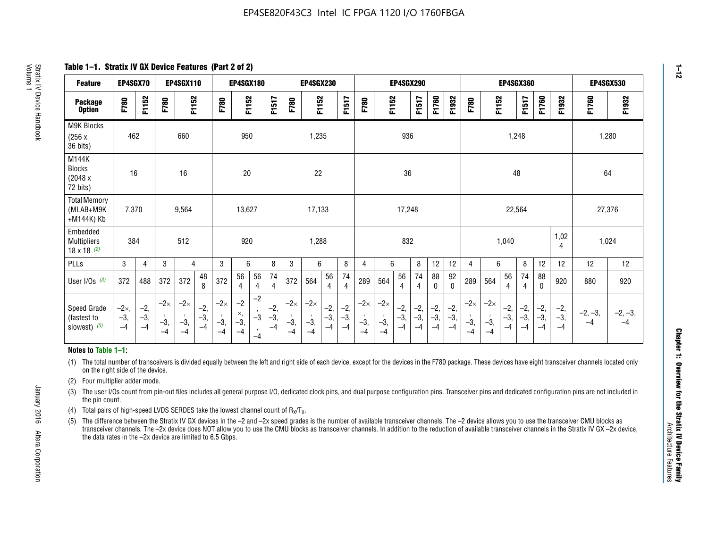**Table 1–1. Stratix IV GX Device Features (Part 2 of 2)**

| <b>Feature</b>                                       | EP4SGX70                |                        |                             | <b>EP4SGX110</b>            |                      |                             | <b>EP4SGX180</b>          |                                              |                        |                             | <b>EP4SGX230</b>            |                        |                      |                             |                             | EP4SGX290              |                      |                        |                        |                             |                             |                        | <b>EP4SGX360</b>     |                        |                        | <b>EP4SGX530</b>  |                   |
|------------------------------------------------------|-------------------------|------------------------|-----------------------------|-----------------------------|----------------------|-----------------------------|---------------------------|----------------------------------------------|------------------------|-----------------------------|-----------------------------|------------------------|----------------------|-----------------------------|-----------------------------|------------------------|----------------------|------------------------|------------------------|-----------------------------|-----------------------------|------------------------|----------------------|------------------------|------------------------|-------------------|-------------------|
| <b>Package</b><br><b>Option</b>                      | F780                    | F1152                  | F780                        | F1152                       |                      | F780                        | F1152                     |                                              | F1517                  | F780                        | F1152                       |                        | F1517                | F780                        | F1152                       |                        | F1517                | F1760                  | F1932                  | F780                        | F1152                       |                        | F1517                | F1760                  | F1932                  | F1760             | F1932             |
| M9K Blocks<br>(256x)<br>36 bits)                     | 462                     |                        |                             | 660                         |                      |                             | 950                       |                                              |                        |                             | 1,235                       |                        |                      |                             |                             | 936                    |                      |                        |                        |                             |                             | 1,248                  |                      |                        |                        | 1,280             |                   |
| M144K<br>Blocks<br>(2048 x<br>72 bits)               | 16                      |                        |                             | 16                          |                      |                             | $20\,$                    |                                              |                        |                             | 22                          |                        |                      |                             |                             | 36                     |                      |                        |                        |                             |                             | 48                     |                      |                        |                        | 64                |                   |
| <b>Total Memory</b><br>(MLAB+M9K<br>+M144K) Kb       | 7,370                   |                        |                             | 9,564                       |                      |                             | 13,627                    |                                              |                        |                             | 17,133                      |                        |                      |                             |                             | 17,248                 |                      |                        |                        |                             |                             | 22,564                 |                      |                        |                        | 27,376            |                   |
| Embedded<br><b>Multipliers</b><br>$18 \times 18$ (2) | 384                     |                        |                             | 512                         |                      |                             | 920                       |                                              |                        |                             | 1,288                       |                        |                      |                             |                             | 832                    |                      |                        |                        |                             |                             | 1,040                  |                      |                        | 1,02<br>4              | 1,024             |                   |
| PLLs                                                 | 3                       | 4                      | 3                           | 4                           |                      | 3                           | 6                         |                                              | 8                      | 3                           | 6                           |                        | 8                    | 4                           | 6                           |                        | 8                    | 12                     | 12                     | 4                           | 6                           |                        | 8                    | 12                     | 12                     | 12                | 12                |
| User I/Os $(3)$                                      | 372                     | 488                    | 372                         | 372                         | 48<br>8              | 372                         | 56<br>4                   | 56<br>4                                      | 74<br>$\overline{4}$   | 372                         | 564                         | 56<br>4                | 74<br>$\overline{4}$ | 289                         | 564                         | 56<br>4                | 74<br>4              | 88<br>0                | 92<br>$\mathbf 0$      | 289                         | 564                         | 56<br>4                | 74<br>4              | 88<br>0                | 920                    | 880               | 920               |
| Speed Grade<br>(fastest to<br>slowest) (5)           | $-2x,$<br>$-3,$<br>$-4$ | $-2,$<br>$-3,$<br>$-4$ | $-2\times$<br>$-3,$<br>$-4$ | $-2\times$<br>$-3,$<br>$-4$ | $-2,$<br>-3,<br>$-4$ | $-2\times$<br>$-3,$<br>$-4$ | $-2$<br>×,<br>$-3,$<br>-4 | $-2$<br>$\,$<br>$-3$<br>$\mathbf{r}$<br>$-4$ | $-2,$<br>$-3,$<br>$-4$ | $-2\times$<br>$-3,$<br>$-4$ | $-2\times$<br>$-3,$<br>$-4$ | $-2,$<br>$-3,$<br>$-4$ | $-2,$<br>-3,<br>$-4$ | $-2\times$<br>$-3,$<br>$-4$ | $-2\times$<br>$-3,$<br>$-4$ | $-2,$<br>$-3,$<br>$-4$ | $-2,$<br>-3,<br>$-4$ | $-2,$<br>$-3,$<br>$-4$ | $-2,$<br>$-3,$<br>$-4$ | $-2\times$<br>$-3,$<br>$-4$ | $-2\times$<br>$-3,$<br>$-4$ | $-2,$<br>$-3,$<br>$-4$ | $-2,$<br>-3,<br>$-4$ | $-2,$<br>$-3,$<br>$-4$ | $-2,$<br>$-3,$<br>$-4$ | $-2, -3,$<br>$-4$ | $-2, -3,$<br>$-4$ |

#### **Notes to Table 1–1:**

(1) The total number of transceivers is divided equally between the left and right side of each device, except for the devices in the F780 package. These devices have eight transceiver channels located only on the right side of the device.

- (2) Four multiplier adder mode.
- (3) The user I/Os count from pin-out files includes all general purpose I/O, dedicated clock pins, and dual purpose configuration pins. Transceiver pins and dedicated configuration pins are not included in the pin count.
- (4) Total pairs of high-speed LVDS SERDES take the lowest channel count of  $R_X/T_X$ .
- (5) The difference between the Stratix IV GX devices in the –2 and –2x speed grades is the number of available transceiver channels. The –2 device allows you to use the transceiver CMU blocks as transceiver channels. The –2x device does NOT allow you to use the CMU blocks as transceiver channels. In addition to the reduction of available transceiver channels in the Stratix IV GX –2x device, the data rates in the –2x device are limited to 6.5 Gbps.

January 2016 Altera Corporation

Altera Corporation

January 2016

**1–12**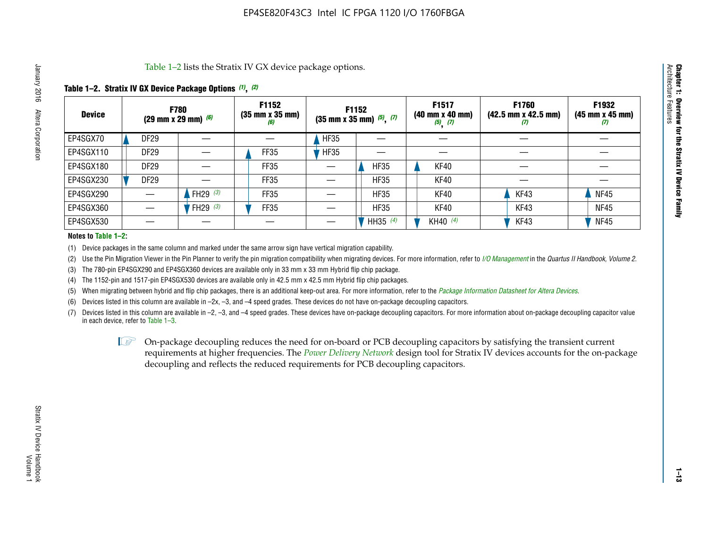Table 1–2 lists the Stratix IV GX device package options.

#### **Table 1–2. Stratix IV GX Device Package Options** *(1)***,** *(2)*

| <b>Device</b> |                  | <b>F780</b><br>(29 mm x 29 mm) $(6)$ | F1152<br>$(35 \, \text{mm} \times 35 \, \text{mm})$<br>(6) |             | F1152<br>$(35 \text{ mm} \times 35 \text{ mm})$ $(5)$ , $(7)$ | F1517<br>$(40 \, \text{mm} \times 40 \, \text{mm})$<br>$(5)$ $(7)$ | <b>F1760</b><br>$(42.5 \text{ mm} \times 42.5 \text{ mm})$<br>‴ | F1932<br>$(45 \, \text{mm} \times 45 \, \text{mm})$<br>$\boldsymbol{U}$ |
|---------------|------------------|--------------------------------------|------------------------------------------------------------|-------------|---------------------------------------------------------------|--------------------------------------------------------------------|-----------------------------------------------------------------|-------------------------------------------------------------------------|
| EP4SGX70      | DF <sub>29</sub> |                                      |                                                            | <b>HF35</b> |                                                               |                                                                    |                                                                 |                                                                         |
| EP4SGX110     | DF <sub>29</sub> |                                      | FF35                                                       | <b>HF35</b> |                                                               |                                                                    |                                                                 |                                                                         |
| EP4SGX180     | DF <sub>29</sub> |                                      | FF35                                                       |             | <b>HF35</b>                                                   | KF40                                                               |                                                                 |                                                                         |
| EP4SGX230     | DF <sub>29</sub> |                                      | FF35                                                       |             | <b>HF35</b>                                                   | KF40                                                               |                                                                 |                                                                         |
| EP4SGX290     |                  | FH29 $(3)$                           | <b>FF35</b>                                                |             | <b>HF35</b>                                                   | KF40                                                               | KF43                                                            | <b>NF45</b>                                                             |
| EP4SGX360     |                  | FH29 $(3)$                           | FF35                                                       |             | <b>HF35</b>                                                   | KF40                                                               | KF43                                                            | <b>NF45</b>                                                             |
| EP4SGX530     |                  |                                      |                                                            |             | HH35 $(4)$                                                    | KH40 (4)                                                           | KF43                                                            | <b>NF45</b>                                                             |

#### **Notes to Table 1–2:**

(1) Device packages in the same column and marked under the same arrow sign have vertical migration capability.

(2) Use the Pin Migration Viewer in the Pin Planner to verify the pin migration compatibility when migrating devices. For more information, refer to *[I/O Management](http://www.altera.com/literature/hb/qts/qts_qii52013.pdf)* in the *Quartus II Handbook, Volume 2*.

(3) The 780-pin EP4SGX290 and EP4SGX360 devices are available only in 33 mm x 33 mm Hybrid flip chip package.

(4) The 1152-pin and 1517-pin EP4SGX530 devices are available only in 42.5 mm x 42.5 mm Hybrid flip chip packages.

(5) When migrating between hybrid and flip chip packages, there is an additional keep-out area. For more information, refer to the *[Package Information Datasheet for Altera Devices](http://www.altera.com/literature/ds/dspkg.pdf)*.

(6) Devices listed in this column are available in –2x, –3, and –4 speed grades. These devices do not have on-package decoupling capacitors.

(7) Devices listed in this column are available in –2, –3, and –4 speed grades. These devices have on-package decoupling capacitors. For more information about on-package decoupling capacitor value in each device, refer to Table 1–3.

 $\mathbb{L}$ s On-package decoupling reduces the need for on-board or PCB decoupling capacitors by satisfying the transient current requirements at higher frequencies. The *[Power Delivery Network](http://www.altera.com/literature/ug/pdn_tool_stxiv.zip)* design tool for Stratix IV devices accounts for the on-package decoupling and reflects the reduced requirements for PCB decoupling capacitors.

**Chapter 1: Overview for the Stratix IV Device Family**

Chapter 1: Overview for the Stratix IV Device Family<br>Architecture Features

Architecture Features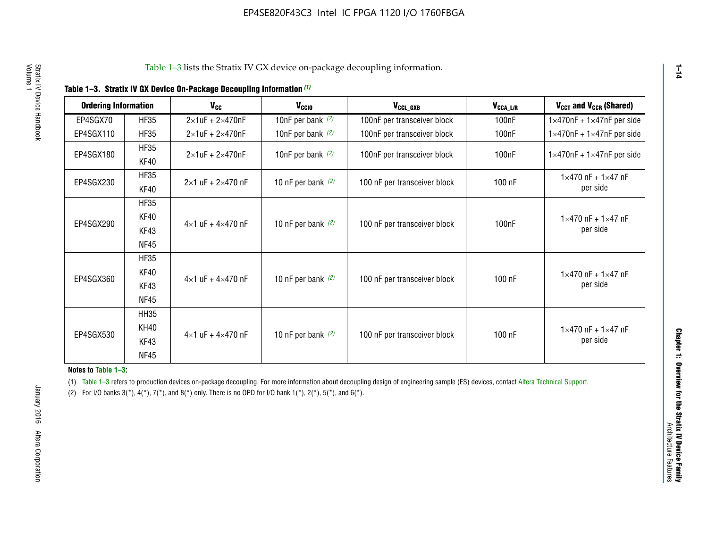| <b>Ordering Information</b> |                            | <b>V<sub>cc</sub></b>               | V <sub>ccio</sub>    | V <sub>CCL GXB</sub>         | V <sub>CCA_L/R</sub> | V <sub>CCT</sub> and V <sub>CCR</sub> (Shared)   |
|-----------------------------|----------------------------|-------------------------------------|----------------------|------------------------------|----------------------|--------------------------------------------------|
| EP4SGX70                    | <b>HF35</b>                | $2\times1$ uF + $2\times470$ nF     | 10nF per bank $(2)$  | 100nF per transceiver block  | 100 <sub>n</sub> F   | $1 \times 470$ nF + $1 \times 47$ nF per side    |
| EP4SGX110                   | <b>HF35</b>                | $2\times1$ uF + $2\times470$ nF     | 10nF per bank $(2)$  | 100nF per transceiver block  | 100 <sub>n</sub> F   | $1\times470$ nF + $1\times47$ nF per side        |
| EP4SGX180                   | <b>HF35</b><br>KF40        | $2\times1$ uF + $2\times470$ nF     | 10nF per bank $(2)$  | 100nF per transceiver block  | 100 <sub>n</sub> F   | $1 \times 470$ nF + $1 \times 47$ nF per side    |
| EP4SGX230                   | <b>HF35</b><br>KF40        | $2 \times 1$ uF + $2 \times 470$ nF | 10 nF per bank $(2)$ | 100 nF per transceiver block | 100 nF               | $1 \times 470$ nF + $1 \times 47$ nF<br>per side |
| EP4SGX290                   | <b>HF35</b><br><b>KF40</b> |                                     |                      |                              |                      | $1 \times 470$ nF + $1 \times 47$ nF             |
|                             | KF43<br><b>NF45</b>        | $4 \times 1$ uF + $4 \times 470$ nF | 10 nF per bank $(2)$ | 100 nF per transceiver block | 100nF                | per side                                         |
|                             | <b>HF35</b><br>KF40        |                                     |                      |                              |                      | $1 \times 470$ nF + $1 \times 47$ nF             |
| EP4SGX360                   | KF43<br><b>NF45</b>        | $4 \times 1$ uF + $4 \times 470$ nF | 10 nF per bank $(2)$ | 100 nF per transceiver block | 100 nF               | per side                                         |
|                             | <b>HH35</b>                |                                     |                      |                              |                      |                                                  |
| EP4SGX530                   | <b>KH40</b><br>KF43        | $4 \times 1$ uF + $4 \times 470$ nF | 10 nF per bank $(2)$ | 100 nF per transceiver block | 100 nF               | $1 \times 470$ nF + $1 \times 47$ nF<br>per side |
|                             | <b>NF45</b>                |                                     |                      |                              |                      |                                                  |

**Notes to Table 1–3:**

(1) Table 1-3 refers to production devices on-package decoupling. For more information about decoupling design of engineering sample (ES) devices, contact [Altera Technical Support](http://mysupport.altera.com/eservice/login.asp).

(2) For I/O banks  $3(*)$ ,  $4(*)$ ,  $7(*)$ , and  $8(*)$  only. There is no OPD for I/O bank  $1(*)$ ,  $2(*)$ ,  $5(*)$ , and  $6(*)$ .

January 2016 Altera Corporation

January 2016 Altera Corporation

**1–14**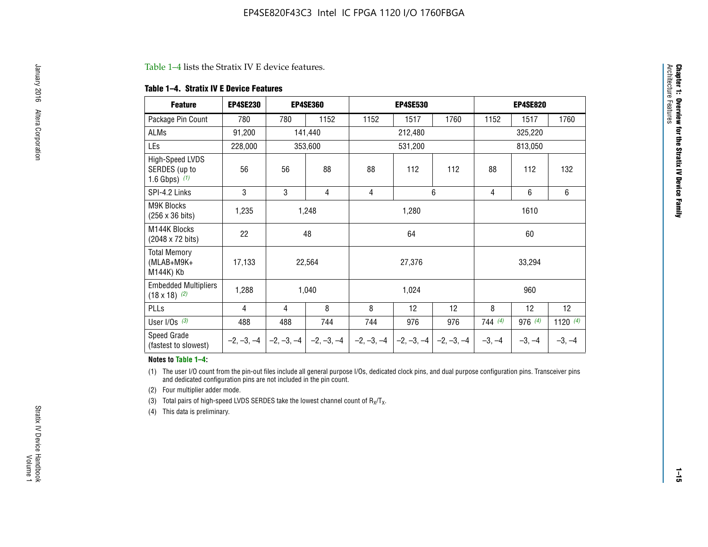#### Table 1–4 lists the Stratix IV E device features.

#### **Table 1–4. Stratix IV E Device Features**

| <b>Feature</b>                                      | <b>EP4SE230</b> |     | <b>EP4SE360</b>                          |              | <b>EP4SE530</b> |              |                | <b>EP4SE820</b> |                 |  |
|-----------------------------------------------------|-----------------|-----|------------------------------------------|--------------|-----------------|--------------|----------------|-----------------|-----------------|--|
| Package Pin Count                                   | 780             | 780 | 1152                                     | 1152         | 1517            | 1760         | 1152           | 1517            | 1760            |  |
| ALMs                                                | 91,200          |     | 141,440                                  |              | 212,480         |              |                | 325,220         |                 |  |
| LEs                                                 | 228,000         |     | 353,600                                  |              | 531,200         |              |                | 813,050         |                 |  |
| High-Speed LVDS<br>SERDES (up to<br>1.6 Gbps) $(1)$ | 56              | 56  | 88                                       | 88           | 112             | 112          | 88             | 112             | 132             |  |
| SPI-4.2 Links                                       | 3               | 3   | 4                                        | 4            |                 | 6            | $\overline{4}$ | 6               | 6               |  |
| M9K Blocks<br>(256 x 36 bits)                       | 1,235           |     | 1,248                                    |              | 1,280           |              |                | 1610            |                 |  |
| M144K Blocks<br>(2048 x 72 bits)                    | 22              |     | 48                                       |              | 64              |              | 60             |                 |                 |  |
| <b>Total Memory</b><br>(MLAB+M9K+<br>M144K) Kb      | 17,133          |     | 22,564                                   |              | 27,376          |              |                | 33,294          |                 |  |
| <b>Embedded Multipliers</b><br>$(18 \times 18)$ (2) | 1,288           |     | 1,040                                    |              | 1,024           |              |                | 960             |                 |  |
| PLLs                                                | 4               | 4   | 8                                        | 8            | 12              | 12           | 8              | 12              | 12 <sup>2</sup> |  |
| User I/Os $(3)$                                     | 488             | 488 | 744                                      | 744          | 976             | 976          | 744(4)         | 976 (4)         | 1120 $(4)$      |  |
| Speed Grade<br>(fastest to slowest)                 |                 |     | $-2, -3, -4$ $ -2, -3, -4$ $ -2, -3, -4$ | $-2, -3, -4$ | $-2, -3, -4$    | $-2, -3, -4$ | $-3, -4$       | $-3, -4$        | $-3, -4$        |  |

#### **Notes to Table 1–4:**

(1) The user I/O count from the pin-out files include all general purpose I/Os, dedicated clock pins, and dual purpose configuration pins. Transceiver pins and dedicated configuration pins are not included in the pin count.

(2) Four multiplier adder mode.

(3) Total pairs of high-speed LVDS SERDES take the lowest channel count of  $R_X/T_X$ .

(4) This data is preliminary.

**Chapter 1: Overview for the Stratix IV Device Family**

**Chapter 1: Overview for the Stratix IV Device Family**<br>Architecture Faatures

Architecture Features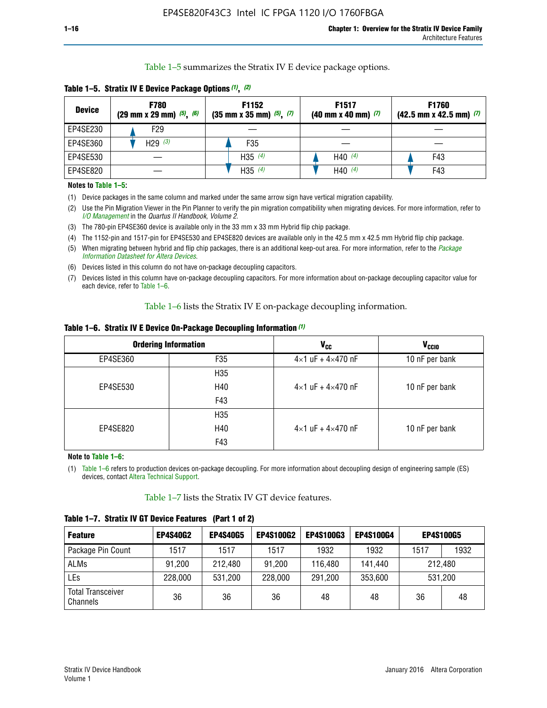Table 1–5 summarizes the Stratix IV E device package options.

| <b>Device</b> | <b>F780</b><br>$(29 \text{ mm} \times 29 \text{ mm})$ $(5)$ , $(6)$ | F1152<br>$(35 \text{ mm} \times 35 \text{ mm})$ $(5)$ , $(7)$ | F <sub>1517</sub><br>$(40 \text{ mm} \times 40 \text{ mm})$ (7) | <b>F1760</b><br>$(42.5$ mm x 42.5 mm) $(7)$ |
|---------------|---------------------------------------------------------------------|---------------------------------------------------------------|-----------------------------------------------------------------|---------------------------------------------|
| EP4SE230      | F29                                                                 |                                                               |                                                                 |                                             |
| EP4SE360      | H29 $(3)$                                                           | F35                                                           |                                                                 |                                             |
| EP4SE530      |                                                                     | H35 $(4)$                                                     | H40 $(4)$                                                       | F43                                         |
| EP4SE820      |                                                                     | H35 $(4)$                                                     | H40 $(4)$                                                       | F43                                         |

**Table 1–5. Stratix IV E Device Package Options** *(1)***,** *(2)*

#### **Notes to Table 1–5:**

(1) Device packages in the same column and marked under the same arrow sign have vertical migration capability.

(2) Use the Pin Migration Viewer in the Pin Planner to verify the pin migration compatibility when migrating devices. For more information, refer to *[I/O Management](http://www.altera.com/literature/hb/qts/qts_qii52013.pdf)* in the *Quartus II Handbook, Volume 2*.

(3) The 780-pin EP4SE360 device is available only in the 33 mm x 33 mm Hybrid flip chip package.

(4) The 1152-pin and 1517-pin for EP4SE530 and EP4SE820 devices are available only in the 42.5 mm x 42.5 mm Hybrid flip chip package.

(5) When migrating between hybrid and flip chip packages, there is an additional keep-out area. For more information, refer to the *[Package](http://www.altera.com/literature/ds/dspkg.pdf)  [Information Datasheet for Altera Devices](http://www.altera.com/literature/ds/dspkg.pdf)*.

(6) Devices listed in this column do not have on-package decoupling capacitors.

(7) Devices listed in this column have on-package decoupling capacitors. For more information about on-package decoupling capacitor value for each device, refer to Table 1–6.

Table 1–6 lists the Stratix IV E on-package decoupling information.

| Table 1–6. Stratix IV E Device On-Package Decoupling Information (1) |  |  |  |  |  |
|----------------------------------------------------------------------|--|--|--|--|--|
|----------------------------------------------------------------------|--|--|--|--|--|

|          | <b>Ordering Information</b> | <b>V<sub>cc</sub></b>               | <b>V<sub>CCIO</sub></b> |
|----------|-----------------------------|-------------------------------------|-------------------------|
| EP4SE360 | F <sub>35</sub>             | $4 \times 1$ uF + $4 \times 470$ nF | 10 nF per bank          |
|          | H <sub>35</sub>             |                                     |                         |
| EP4SE530 | H40                         | $4 \times 1$ uF + $4 \times 470$ nF | 10 nF per bank          |
|          | F43                         |                                     |                         |
|          | H <sub>35</sub>             |                                     |                         |
| EP4SE820 | H40                         | $4 \times 1$ uF + $4 \times 470$ nF | 10 nF per bank          |
|          | F43                         |                                     |                         |

**Note to Table 1–6:**

(1) Table 1–6 refers to production devices on-package decoupling. For more information about decoupling design of engineering sample (ES) devices, contact [Altera Technical Support](http://mysupport.altera.com/eservice/login.asp).

Table 1–7 lists the Stratix IV GT device features.

| <b>Feature</b>                       | <b>EP4S40G2</b> | <b>EP4S40G5</b> | <b>EP4S100G2</b> | <b>EP4S100G3</b> | <b>EP4S100G4</b> | <b>EP4S100G5</b> |         |
|--------------------------------------|-----------------|-----------------|------------------|------------------|------------------|------------------|---------|
| Package Pin Count                    | 1517            | 1517            | 1517             | 1932             | 1932             | 1517             | 1932    |
| <b>ALMs</b>                          | 91,200          | 212,480         | 91,200           | 116,480          | 141,440          | 212.480          |         |
| LEs                                  | 228,000         | 531,200         | 228,000          | 291,200          | 353,600          |                  | 531,200 |
| <b>Total Transceiver</b><br>Channels | 36              | 36              | 36               | 48               | 48               | 36               | 48      |

**Table 1–7. Stratix IV GT Device Features (Part 1 of 2)**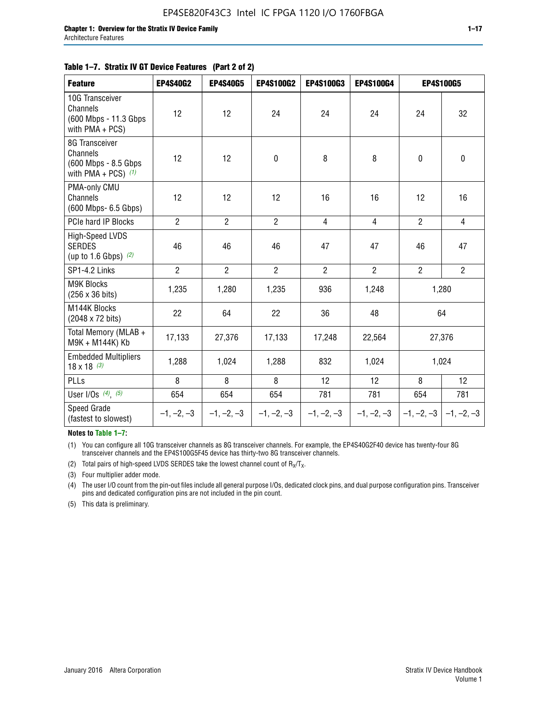#### **Table 1–7. Stratix IV GT Device Features (Part 2 of 2)**

| <b>Feature</b>                                                              | <b>EP4S40G2</b> | <b>EP4S40G5</b> | <b>EP4S100G2</b> | <b>EP4S100G3</b> | <b>EP4S100G4</b> |                           | <b>EP4S100G5</b> |
|-----------------------------------------------------------------------------|-----------------|-----------------|------------------|------------------|------------------|---------------------------|------------------|
| 10G Transceiver<br>Channels<br>(600 Mbps - 11.3 Gbps)<br>with $PMA + PCS$ ) | 12              | 12              | 24               | 24               | 24               | 24                        | 32               |
| 8G Transceiver<br>Channels<br>(600 Mbps - 8.5 Gbps<br>with PMA + PCS) $(1)$ | 12              | 12              | $\mathbf 0$      | 8                | 8                | $\mathbf 0$               | $\mathbf 0$      |
| PMA-only CMU<br>Channels<br>(600 Mbps- 6.5 Gbps)                            | 12              | 12              | 12               | 16               | 16               | 12                        | 16               |
| PCIe hard IP Blocks                                                         | $\overline{2}$  | $\overline{2}$  | $2^{\circ}$      | $\overline{4}$   | $\overline{4}$   | $\overline{2}$            | $\overline{4}$   |
| <b>High-Speed LVDS</b><br><b>SERDES</b><br>(up to 1.6 Gbps) $(2)$           | 46              | 46              | 46               | 47               | 47               | 46                        | 47               |
| SP1-4.2 Links                                                               | $\overline{2}$  | $\overline{2}$  | $\overline{2}$   | $\overline{2}$   | $\overline{2}$   | $\overline{2}$            | $\overline{2}$   |
| <b>M9K Blocks</b><br>(256 x 36 bits)                                        | 1,235           | 1,280           | 1,235            | 936              | 1,248            |                           | 1,280            |
| M144K Blocks<br>(2048 x 72 bits)                                            | 22              | 64              | 22               | 36               | 48               |                           | 64               |
| Total Memory (MLAB +<br>M9K + M144K) Kb                                     | 17,133          | 27,376          | 17,133           | 17,248           | 22,564           |                           | 27,376           |
| <b>Embedded Multipliers</b><br>$18 \times 18^{(3)}$                         | 1,288           | 1,024           | 1,288            | 832              | 1,024            |                           | 1,024            |
| PLLs                                                                        | 8               | 8               | 8                | 12               | 12               | 8                         | 12               |
| User I/Os $(4)$ , $(5)$                                                     | 654             | 654             | 654              | 781              | 781              | 654                       | 781              |
| Speed Grade<br>(fastest to slowest)                                         | $-1, -2, -3$    | $-1, -2, -3$    | $-1, -2, -3$     | $-1, -2, -3$     | $-1, -2, -3$     | $-1, -2, -3$ $-1, -2, -3$ |                  |

**Notes to Table 1–7:**

(1) You can configure all 10G transceiver channels as 8G transceiver channels. For example, the EP4S40G2F40 device has twenty-four 8G transceiver channels and the EP4S100G5F45 device has thirty-two 8G transceiver channels.

(2) Total pairs of high-speed LVDS SERDES take the lowest channel count of  $R_X/T_X$ .

(3) Four multiplier adder mode.

(4) The user I/O count from the pin-out files include all general purpose I/Os, dedicated clock pins, and dual purpose configuration pins. Transceiver pins and dedicated configuration pins are not included in the pin count.

(5) This data is preliminary.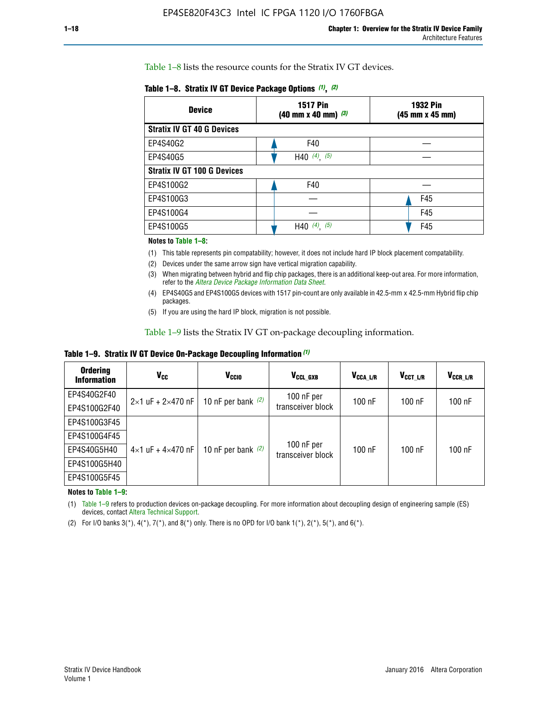Table 1–8 lists the resource counts for the Stratix IV GT devices.

| <b>Device</b>                      | <b>1517 Pin</b><br><b>1932 Pin</b><br>$(40 \text{ mm} \times 40 \text{ mm})$ (3)<br>(45 mm x 45 mm) |     |  |
|------------------------------------|-----------------------------------------------------------------------------------------------------|-----|--|
| <b>Stratix IV GT 40 G Devices</b>  |                                                                                                     |     |  |
| EP4S40G2                           | F40                                                                                                 |     |  |
| EP4S40G5                           | H40 $(4)$ , $(5)$                                                                                   |     |  |
| <b>Stratix IV GT 100 G Devices</b> |                                                                                                     |     |  |
| EP4S100G2                          | F40                                                                                                 |     |  |
| EP4S100G3                          |                                                                                                     | F45 |  |
| EP4S100G4                          |                                                                                                     | F45 |  |
| EP4S100G5                          | H40 $(4)$ $(5)$                                                                                     | F45 |  |

#### **Notes to Table 1–8:**

(1) This table represents pin compatability; however, it does not include hard IP block placement compatability.

- (2) Devices under the same arrow sign have vertical migration capability.
- (3) When migrating between hybrid and flip chip packages, there is an additional keep-out area. For more information, refer to the *[Altera Device Package Information Data Sheet](http://www.altera.com/literature/ds/dspkg.pdf)*.
- (4) EP4S40G5 and EP4S100G5 devices with 1517 pin-count are only available in 42.5-mm x 42.5-mm Hybrid flip chip packages.
- (5) If you are using the hard IP block, migration is not possible.

Table 1–9 lists the Stratix IV GT on-package decoupling information.

**Table 1–9. Stratix IV GT Device On-Package Decoupling Information** *(1)*

| <b>Ordering</b><br><b>Information</b> | Vcc                                 | <b>V<sub>CCIO</sub></b> | V <sub>CCL GXB</sub>            | V <sub>CCA L/R</sub> | V <sub>CCT L/R</sub> | V <sub>CCR_L/R</sub> |
|---------------------------------------|-------------------------------------|-------------------------|---------------------------------|----------------------|----------------------|----------------------|
| EP4S40G2F40                           | $2 \times 1$ uF + $2 \times 470$ nF | 10 nF per bank $(2)$    | 100 nF per<br>transceiver block | $100$ nF             | $100$ nF             | 100 nF               |
| EP4S100G2F40                          |                                     |                         |                                 |                      |                      |                      |
| EP4S100G3F45                          | $4\times1$ uF + $4\times470$ nF     | 10 nF per bank $(2)$    | 100 nF per<br>transceiver block | $100$ nF             | $100$ nF             | $100$ nF             |
| EP4S100G4F45                          |                                     |                         |                                 |                      |                      |                      |
| EP4S40G5H40                           |                                     |                         |                                 |                      |                      |                      |
| EP4S100G5H40                          |                                     |                         |                                 |                      |                      |                      |
| EP4S100G5F45                          |                                     |                         |                                 |                      |                      |                      |

**Notes to Table 1–9:**

(1) Table 1–9 refers to production devices on-package decoupling. For more information about decoupling design of engineering sample (ES) devices, contact [Altera Technical Support](http://mysupport.altera.com/eservice/login.asp).

(2) For I/O banks  $3(*)$ ,  $4(*)$ ,  $7(*)$ , and  $8(*)$  only. There is no OPD for I/O bank  $1(*)$ ,  $2(*)$ ,  $5(*)$ , and  $6(*)$ .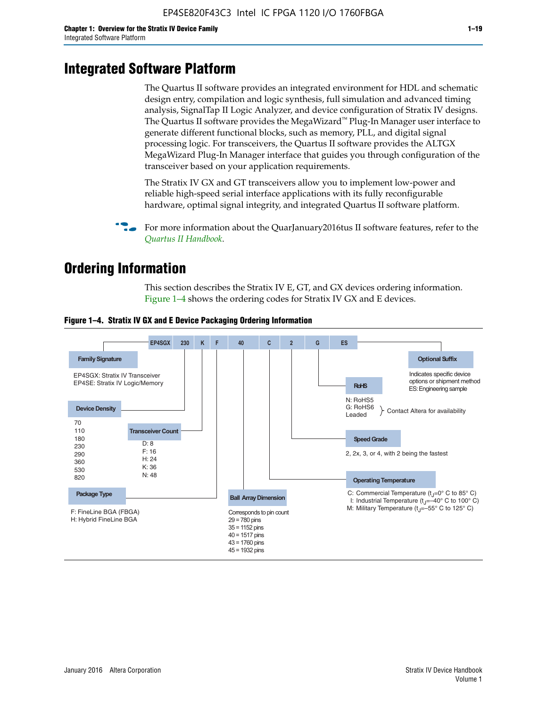# **Integrated Software Platform**

The Quartus II software provides an integrated environment for HDL and schematic design entry, compilation and logic synthesis, full simulation and advanced timing analysis, SignalTap II Logic Analyzer, and device configuration of Stratix IV designs. The Quartus II software provides the MegaWizard<sup> $M$ </sup> Plug-In Manager user interface to generate different functional blocks, such as memory, PLL, and digital signal processing logic. For transceivers, the Quartus II software provides the ALTGX MegaWizard Plug-In Manager interface that guides you through configuration of the transceiver based on your application requirements.

The Stratix IV GX and GT transceivers allow you to implement low-power and reliable high-speed serial interface applications with its fully reconfigurable hardware, optimal signal integrity, and integrated Quartus II software platform.

For more information about the QuarJanuary2016tus II software features, refer to the *[Quartus II Handbook](http://www.altera.com/literature/lit-qts.jsp)*.

# **Ordering Information**

This section describes the Stratix IV E, GT, and GX devices ordering information. Figure 1–4 shows the ordering codes for Stratix IV GX and E devices.



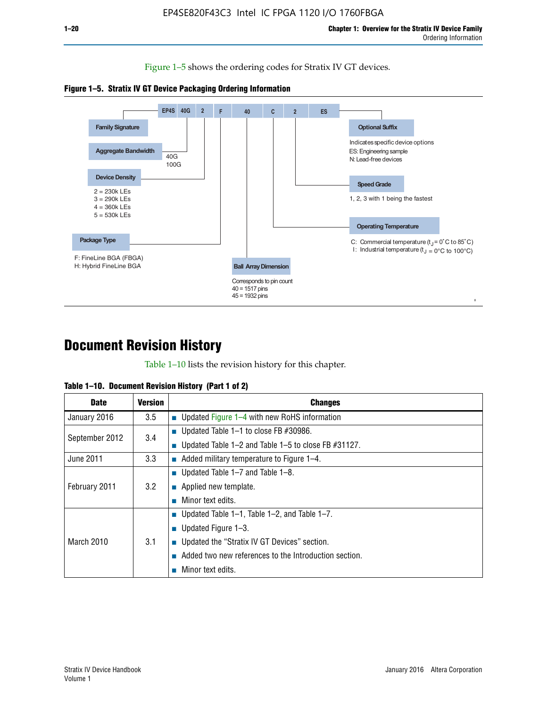Figure 1–5 shows the ordering codes for Stratix IV GT devices.





# **Document Revision History**

Table 1–10 lists the revision history for this chapter.

|  | Table 1–10. Document Revision History (Part 1 of 2) |  |  |
|--|-----------------------------------------------------|--|--|
|--|-----------------------------------------------------|--|--|

| <b>Date</b>       | Version | <b>Changes</b>                                         |
|-------------------|---------|--------------------------------------------------------|
| January 2016      | 3.5     | <b>Updated Figure 1–4 with new RoHS information</b>    |
| September 2012    | 3.4     | ■ Updated Table 1–1 to close FB $#30986$ .             |
|                   |         | Updated Table 1–2 and Table 1–5 to close FB $#31127$ . |
| June 2011         | 3.3     | Added military temperature to Figure 1–4.              |
| February 2011     | 3.2     | ■ Updated Table 1–7 and Table 1–8.                     |
|                   |         | $\blacksquare$ Applied new template.                   |
|                   |         | Minor text edits.                                      |
| <b>March 2010</b> | 3.1     | <b>Updated Table 1–1, Table 1–2, and Table 1–7.</b>    |
|                   |         | ■ Updated Figure $1-3$ .                               |
|                   |         | ■ Updated the "Stratix IV GT Devices" section.         |
|                   |         | Added two new references to the Introduction section.  |
|                   |         | Minor text edits.                                      |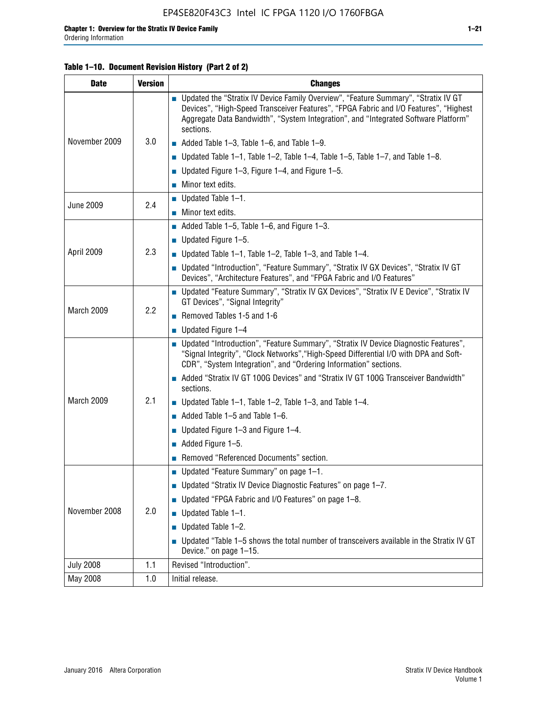#### **Table 1–10. Document Revision History (Part 2 of 2)**

| <b>Date</b>      | <b>Version</b> | <b>Changes</b>                                                                                                                                                                                                                                                                    |  |
|------------------|----------------|-----------------------------------------------------------------------------------------------------------------------------------------------------------------------------------------------------------------------------------------------------------------------------------|--|
| November 2009    | 3.0            | ■ Updated the "Stratix IV Device Family Overview", "Feature Summary", "Stratix IV GT<br>Devices", "High-Speed Transceiver Features", "FPGA Fabric and I/O Features", "Highest<br>Aggregate Data Bandwidth", "System Integration", and "Integrated Software Platform"<br>sections. |  |
|                  |                | $\blacksquare$ Added Table 1-3, Table 1-6, and Table 1-9.                                                                                                                                                                                                                         |  |
|                  |                | $\blacksquare$ Updated Table 1-1, Table 1-2, Table 1-4, Table 1-5, Table 1-7, and Table 1-8.                                                                                                                                                                                      |  |
|                  |                | ■ Updated Figure 1–3, Figure 1–4, and Figure 1–5.                                                                                                                                                                                                                                 |  |
|                  |                | $\blacksquare$ Minor text edits.                                                                                                                                                                                                                                                  |  |
| <b>June 2009</b> | 2.4            | $\blacksquare$ Updated Table 1-1.                                                                                                                                                                                                                                                 |  |
|                  |                | Minor text edits.                                                                                                                                                                                                                                                                 |  |
|                  |                | $\blacksquare$ Added Table 1–5, Table 1–6, and Figure 1–3.                                                                                                                                                                                                                        |  |
|                  |                | $\blacksquare$ Updated Figure 1-5.                                                                                                                                                                                                                                                |  |
| April 2009       | 2.3            | Updated Table $1-1$ , Table $1-2$ , Table $1-3$ , and Table $1-4$ .                                                                                                                                                                                                               |  |
|                  |                | ■ Updated "Introduction", "Feature Summary", "Stratix IV GX Devices", "Stratix IV GT<br>Devices", "Architecture Features", and "FPGA Fabric and I/O Features"                                                                                                                     |  |
| March 2009       | 2.2            | ■ Updated "Feature Summary", "Stratix IV GX Devices", "Stratix IV E Device", "Stratix IV<br>GT Devices", "Signal Integrity"                                                                                                                                                       |  |
|                  |                | Removed Tables 1-5 and 1-6                                                                                                                                                                                                                                                        |  |
|                  |                | Updated Figure 1-4                                                                                                                                                                                                                                                                |  |
|                  |                | ■ Updated "Introduction", "Feature Summary", "Stratix IV Device Diagnostic Features",<br>"Signal Integrity", "Clock Networks", "High-Speed Differential I/O with DPA and Soft-<br>CDR", "System Integration", and "Ordering Information" sections.                                |  |
|                  |                | Added "Stratix IV GT 100G Devices" and "Stratix IV GT 100G Transceiver Bandwidth"<br>sections.                                                                                                                                                                                    |  |
| March 2009       | 2.1            | <b>Updated Table 1–1, Table 1–2, Table 1–3, and Table 1–4.</b>                                                                                                                                                                                                                    |  |
|                  |                | $\blacksquare$ Added Table 1-5 and Table 1-6.                                                                                                                                                                                                                                     |  |
|                  |                | ■ Updated Figure $1-3$ and Figure $1-4$ .                                                                                                                                                                                                                                         |  |
|                  |                | $\blacksquare$ Added Figure 1-5.                                                                                                                                                                                                                                                  |  |
|                  |                | Removed "Referenced Documents" section.                                                                                                                                                                                                                                           |  |
|                  |                | Updated "Feature Summary" on page 1-1.                                                                                                                                                                                                                                            |  |
| November 2008    |                | ■ Updated "Stratix IV Device Diagnostic Features" on page 1-7.                                                                                                                                                                                                                    |  |
|                  | 2.0            | Updated "FPGA Fabric and I/O Features" on page 1-8.                                                                                                                                                                                                                               |  |
|                  |                | $\blacksquare$ Updated Table 1-1.                                                                                                                                                                                                                                                 |  |
|                  |                | Updated Table 1-2.                                                                                                                                                                                                                                                                |  |
|                  |                | Updated "Table 1-5 shows the total number of transceivers available in the Stratix IV GT<br>Device." on page 1-15.                                                                                                                                                                |  |
| <b>July 2008</b> | 1.1            | Revised "Introduction".                                                                                                                                                                                                                                                           |  |
| May 2008         | 1.0            | Initial release.                                                                                                                                                                                                                                                                  |  |